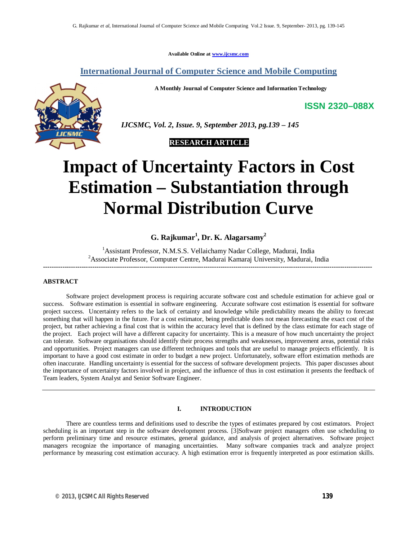**Available Online at www.ijcsmc.com**

### **International Journal of Computer Science and Mobile Computing**

**A Monthly Journal of Computer Science and Information Technology**



 *IJCSMC, Vol. 2, Issue. 9, September 2013, pg.139 – 145*



# **Impact of Uncertainty Factors in Cost Estimation – Substantiation through Normal Distribution Curve**

## **G. Rajkumar<sup>1</sup> , Dr. K. Alagarsamy<sup>2</sup>**

<sup>1</sup> Assistant Professor, N.M.S.S. Vellaichamy Nadar College, Madurai, India <sup>2</sup>Associate Professor, Computer Centre, Madurai Kamaraj University, Madurai, India **----------------------------------------------------------------------------------------------------------------------------------------------------------**

#### **ABSTRACT**

Software project development process is requiring accurate software cost and schedule estimation for achieve goal or success. Software estimation is essential in software engineering. Accurate software cost estimation is essential for software project success. Uncertainty refers to the lack of certainty and knowledge while predictability means the ability to forecast something that will happen in the future. For a cost estimator, being predictable does not mean forecasting the exact cost of the project, but rather achieving a final cost that is within the accuracy level that is defined by the class estimate for each stage of the project. Each project will have a different capacity for uncertainty. This is a measure of how much uncertainty the project can tolerate. Software organisations should identify their process strengths and weaknesses, improvement areas, potential risks and opportunities. Project managers can use different techniques and tools that are useful to manage projects efficiently. It is important to have a good cost estimate in order to budget a new project. Unfortunately, software effort estimation methods are often inaccurate. Handling uncertainty is essential for the success of software development projects. This paper discusses about the importance of uncertainty factors involved in project, and the influence of thus in cost estimation it presents the feedback of Team leaders, System Analyst and Senior Software Engineer.

#### **I. INTRODUCTION**

There are countless terms and definitions used to describe the types of estimates prepared by cost estimators. Project scheduling is an important step in the software development process. [3]Software project managers often use scheduling to perform preliminary time and resource estimates, general guidance, and analysis of project alternatives. Software project managers recognize the importance of managing uncertainties. Many software companies track and analyze project performance by measuring cost estimation accuracy. A high estimation error is frequently interpreted as poor estimation skills.

**ISSN 2320–088X**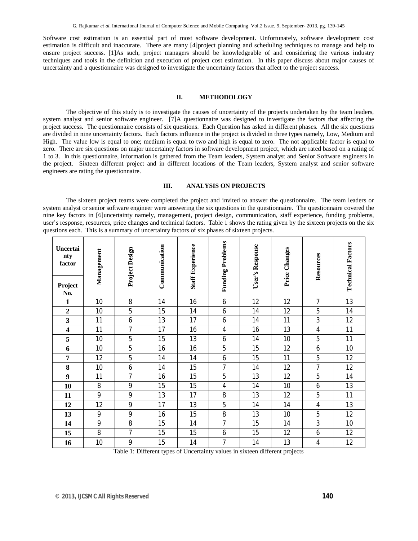Software cost estimation is an essential part of most software development. Unfortunately, software development cost estimation is difficult and inaccurate. There are many [4]project planning and scheduling techniques to manage and help to ensure project success. [1]As such, project managers should be knowledgeable of and considering the various industry techniques and tools in the definition and execution of project cost estimation. In this paper discuss about major causes of uncertainty and a questionnaire was designed to investigate the uncertainty factors that affect to the project success.

#### **II. METHODOLOGY**

The objective of this study is to investigate the causes of uncertainty of the projects undertaken by the team leaders, system analyst and senior software engineer. [7]A questionnaire was designed to investigate the factors that affecting the project success. The questionnaire consists of six questions. Each Question has asked in different phases. All the six questions are divided in nine uncertainty factors. Each factors influence in the project is divided in three types namely, Low, Medium and High. The value low is equal to one; medium is equal to two and high is equal to zero. The not applicable factor is equal to zero. There are six questions on major uncertainty factors in software development project, which are rated based on a rating of 1 to 3. In this questionnaire, information is gathered from the Team leaders, System analyst and Senior Software engineers in the project. Sixteen different project and in different locations of the Team leaders, System analyst and senior software engineers are rating the questionnaire.

#### **III. ANALYSIS ON PROJECTS**

The sixteen project teams were completed the project and invited to answer the questionnaire. The team leaders or system analyst or senior software engineer were answering the six questions in the questionnaire. The questionnaire covered the nine key factors in [6]uncertainty namely, management, project design, communication, staff experience, funding problems, user's response, resources, price changes and technical factors. Table 1 shows the rating given by the sixteen projects on the six questions each. This is a summary of uncertainty factors of six phases of sixteen projects.

| <b>Uncertai</b><br>nty<br>factor | Management | Project Design | Communication | <b>Staff Experience</b> | <b>Funding Problems</b> | User's Response | Price Changes | Resources      | <b>Technical Factors</b> |
|----------------------------------|------------|----------------|---------------|-------------------------|-------------------------|-----------------|---------------|----------------|--------------------------|
| Project<br>No.                   |            |                |               |                         |                         |                 |               |                |                          |
| $\mathbf{1}$                     | 10         | 8              | 14            | 16                      | 6                       | 12              | 12            | $\overline{1}$ | 13                       |
| $\overline{2}$                   | 10         | 5              | 15            | 14                      | 6                       | 14              | 12            | 5              | 14                       |
| $\mathbf{3}$                     | 11         | 6              | 13            | 17                      | 6                       | 14              | 11            | 3              | 12                       |
| 4                                | 11         | $\overline{7}$ | 17            | 16                      | 4                       | 16              | 13            | $\overline{4}$ | 11                       |
| 5                                | 10         | 5              | 15            | 13                      | 6                       | 14              | 10            | 5              | 11                       |
| 6                                | 10         | 5              | 16            | 16                      | 5                       | 15              | 12            | 6              | 10                       |
| 7                                | 12         | 5              | 14            | 14                      | 6                       | 15              | 11            | 5              | 12                       |
| 8                                | 10         | 6              | 14            | 15                      | $\overline{1}$          | 14              | 12            | $\overline{7}$ | 12                       |
| 9                                | 11         | $\overline{7}$ | 16            | 15                      | 5                       | 13              | 12            | 5              | 14                       |
| 10                               | 8          | 9              | 15            | 15                      | 4                       | 14              | 10            | 6              | 13                       |
| 11                               | 9          | 9              | 13            | 17                      | 8                       | 13              | 12            | 5              | 11                       |
| 12                               | 12         | 9              | 17            | 13                      | 5                       | 14              | 14            | $\overline{4}$ | 13                       |
| 13                               | 9          | 9              | 16            | 15                      | 8                       | 13              | 10            | 5              | 12                       |
| 14                               | 9          | 8              | 15            | 14                      | $\overline{1}$          | 15              | 14            | 3              | 10                       |
| 15                               | 8          | 7              | 15            | 15                      | 6                       | 15              | 12            | 6              | 12                       |
| 16                               | 10         | 9              | 15            | 14                      | 7                       | 14              | 13            | 4              | 12                       |

Table 1: Different types of Uncertainty values in sixteen different projects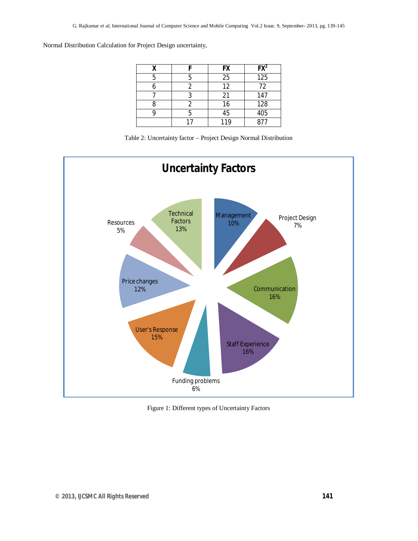Normal Distribution Calculation for Project Design uncertainty,

|  | <b>FX</b> | $FX^2$ |  |
|--|-----------|--------|--|
|  | 25        | 125    |  |
|  | 12        | 72     |  |
|  | 21        | 147    |  |
|  | 16        | 128    |  |
|  | 45        | 405    |  |
|  | 119       | 877    |  |

Table 2: Uncertainty factor – Project Design Normal Distribution



Figure 1: Different types of Uncertainty Factors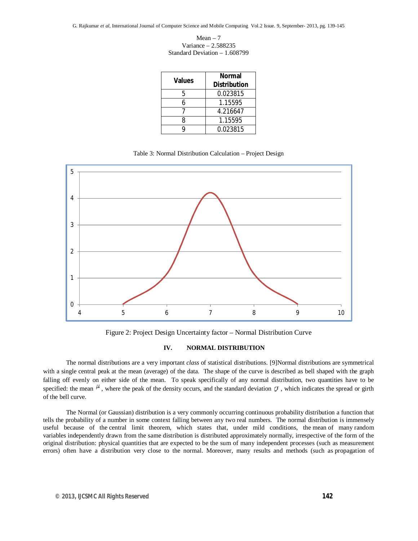G. Rajkumar *et al*, International Journal of Computer Science and Mobile Computing Vol.2 Issue. 9, September- 2013, pg. 139-145

 $Mean - 7$ Variance – 2.588235 Standard Deviation – 1.608799

| <b>Values</b> | Normal<br><b>Distribution</b> |  |  |
|---------------|-------------------------------|--|--|
| 5             | 0.023815                      |  |  |
| 6             | 1.15595                       |  |  |
|               | 4.216647                      |  |  |
| ጸ             | 1.15595                       |  |  |
| Q             | 0.023815                      |  |  |

Table 3: Normal Distribution Calculation – Project Design



Figure 2: Project Design Uncertainty factor – Normal Distribution Curve

#### **IV. NORMAL DISTRIBUTION**

The normal distributions are a very important *class* of statistical distributions. [9]Normal distributions are symmetrical with a single central peak at the mean (average) of the data. The shape of the curve is described as bell shaped with the graph falling off evenly on either side of the mean. To speak specifically of any normal distribution, two quantities have to be specified: the mean  $\mu$ , where the peak of the density occurs, and the standard deviation  $\sigma$ , which indicates the spread or girth of the bell curve.

The Normal (or Gaussian) distribution is a very commonly occurring continuous probability distribution a function that tells the probability of a number in some context falling between any two real numbers. The normal distribution is immensely useful because of the central limit theorem, which states that, under mild conditions, the mean of many random variables independently drawn from the same distribution is distributed approximately normally, irrespective of the form of the original distribution: physical quantities that are expected to be the sum of many independent processes (such as measurement errors) often have a distribution very close to the normal. Moreover, many results and methods (such as propagation of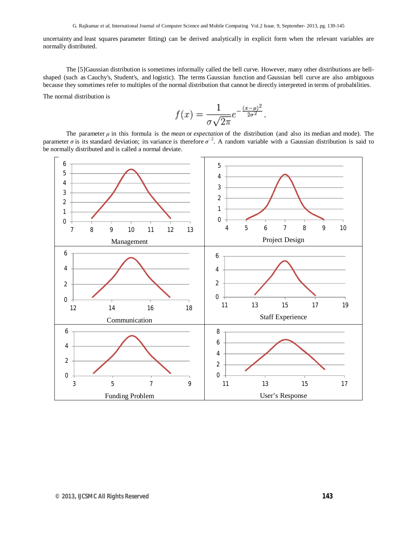uncertainty and least squares parameter fitting) can be derived analytically in explicit form when the relevant variables are normally distributed.

The [5]Gaussian distribution is sometimes informally called the bell curve. However, many other distributions are bellshaped (such as Cauchy's, Student's, and logistic). The terms Gaussian function and Gaussian bell curve are also ambiguous because they sometimes refer to multiples of the normal distribution that cannot be directly interpreted in terms of probabilities.

The normal distribution is

$$
f(x) = \frac{1}{\sigma\sqrt{2\pi}}e^{-\frac{(x-\mu)^2}{2\sigma^2}}
$$

The parameter  $\mu$  in this formula is the *mean* or *expectation* of the distribution (and also its median and mode). The parameter *σ* is its standard deviation; its variance is therefore *σ* 2. A random variable with a Gaussian distribution is said to be normally distributed and is called a normal deviate.

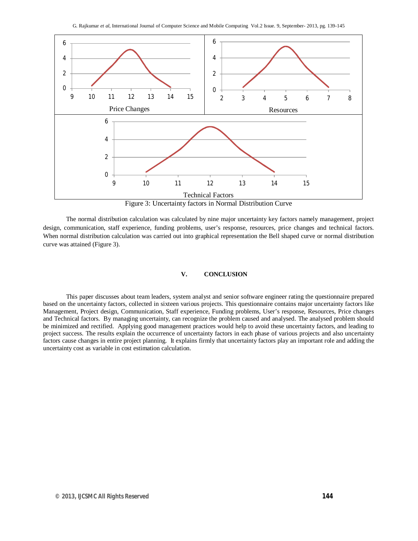

Figure 3: Uncertainty factors in Normal Distribution Curve

The normal distribution calculation was calculated by nine major uncertainty key factors namely management, project design, communication, staff experience, funding problems, user's response, resources, price changes and technical factors. When normal distribution calculation was carried out into graphical representation the Bell shaped curve or normal distribution curve was attained (Figure 3).

#### **V. CONCLUSION**

This paper discusses about team leaders, system analyst and senior software engineer rating the questionnaire prepared based on the uncertainty factors, collected in sixteen various projects. This questionnaire contains major uncertainty factors like Management, Project design, Communication, Staff experience, Funding problems, User's response, Resources, Price changes and Technical factors. By managing uncertainty, can recognize the problem caused and analysed. The analysed problem should be minimized and rectified. Applying good management practices would help to avoid these uncertainty factors, and leading to project success. The results explain the occurrence of uncertainty factors in each phase of various projects and also uncertainty factors cause changes in entire project planning. It explains firmly that uncertainty factors play an important role and adding the uncertainty cost as variable in cost estimation calculation.